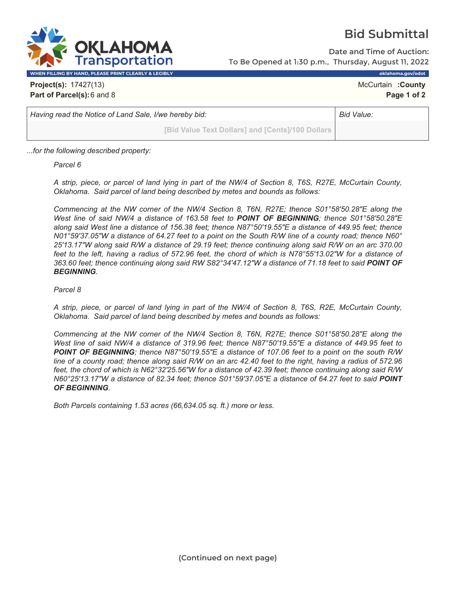

## **Bid Submittal**

**Date and Time of Auction:** To Be Opened at 1:30 p.m., Thursday, August 11, 2022

**WHEN FILLING BY HAND, PLEASE PRINT CLEARLY & LEGIBLY oklahoma.gov/odot**

**Project(s):** 17427(13) **McCurtain <b>:County** McCurtain **:County McCurtain :County Part of Parcel(s):**6 and 8 **Page 1 of 2**

*Having read the Notice of Land Sale, I/we hereby bid:* **Bid Value: Bid Value: Bid Value: Bid Value: Bid Value: Bid Value: Bid Value: Bid Value: Bid Value: Bid Value: Bid Value: Bid Value: Bid Value** 

**[Bid Value Text Dollars] and [Cents]/100 Dollars**

*...for the following described property:*

*Parcel 6* 

*A strip, piece, or parcel of land lying in part of the NW/4 of Section 8, T6S, R27E, McCurtain County, Oklahoma. Said parcel of land being described by metes and bounds as follows:* 

*Commencing at the NW corner of the NW/4 Section 8, T6N, R27E; thence S01°58'50.28"E along the West line of said NW/4 a distance of 163.58 feet to POINT OF BEGINNING; thence S01°58'50.28"E along said West line a distance of 156.38 feet; thence N87°50'19.55"E a distance of 449.95 feet; thence N01°59'37.05"W a distance of 64.27 feet to a point on the South R/W line of a county road; thence N60° 25'13.17"W along said R/W a distance of 29.19 feet; thence continuing along said R/W on an arc 370.00 feet to the left, having a radius of 572.96 feet, the chord of which is N78°55'13.02"W for a distance of*  363.60 feet; thence continuing along said RW S82°34'47.12"W a distance of 71.18 feet to said **POINT OF** *BEGINNING.* 

## *Parcel 8*

*A strip, piece, or parcel of land lying in part of the NW/4 of Section 8, T6S, R2E, McCurtain County, Oklahoma. Said parcel of land being described by metes and bounds as follows:* 

*Commencing at the NW corner of the NW/4 Section 8, T6N, R27E; thence S01°58'50.28"E along the West line of said NW/4 a distance of 319.96 feet; thence N87°50'19.55"E a distance of 449.95 feet to POINT OF BEGINNING; thence N87°50'19.55"E a distance of 107.06 feet to a point on the south R/W line of a county road; thence along said R/W on an arc 42.40 feet to the right, having a radius of 572.96 feet, the chord of which is N62°32'25.56"W for a distance of 42.39 feet; thence continuing along said R/W N60°25'13.17"W a distance of 82.34 feet; thence S01°59'37.05"E a distance of 64.27 feet to said POINT OF BEGINNING.* 

*Both Parcels containing 1.53 acres (66,634.05 sq. ft.) more or less.*